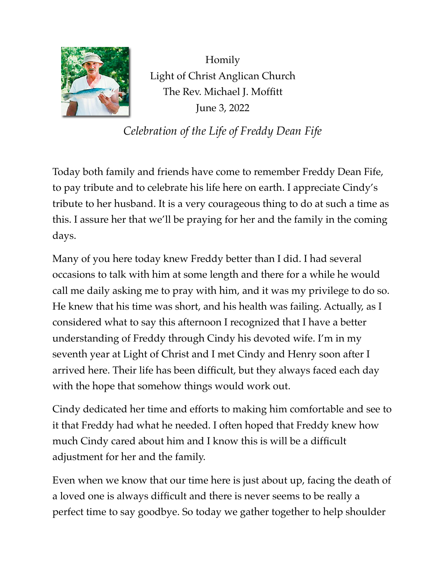

Homily Light of Christ Anglican Church The Rev. Michael J. Moffitt June 3, 2022

*Celebration of the Life of Freddy Dean Fife*

Today both family and friends have come to remember Freddy Dean Fife, to pay tribute and to celebrate his life here on earth. I appreciate Cindy's tribute to her husband. It is a very courageous thing to do at such a time as this. I assure her that we'll be praying for her and the family in the coming days.

Many of you here today knew Freddy better than I did. I had several occasions to talk with him at some length and there for a while he would call me daily asking me to pray with him, and it was my privilege to do so. He knew that his time was short, and his health was failing. Actually, as I considered what to say this afternoon I recognized that I have a better understanding of Freddy through Cindy his devoted wife. I'm in my seventh year at Light of Christ and I met Cindy and Henry soon after I arrived here. Their life has been difficult, but they always faced each day with the hope that somehow things would work out.

Cindy dedicated her time and efforts to making him comfortable and see to it that Freddy had what he needed. I often hoped that Freddy knew how much Cindy cared about him and I know this is will be a difficult adjustment for her and the family.

Even when we know that our time here is just about up, facing the death of a loved one is always difficult and there is never seems to be really a perfect time to say goodbye. So today we gather together to help shoulder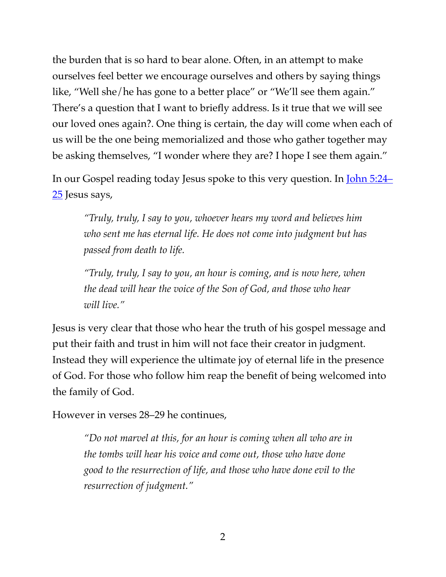the burden that is so hard to bear alone. Often, in an attempt to make ourselves feel better we encourage ourselves and others by saying things like, "Well she/he has gone to a better place" or "We'll see them again." There's a question that I want to briefly address. Is it true that we will see our loved ones again?. One thing is certain, the day will come when each of us will be the one being memorialized and those who gather together may be asking themselves, "I wonder where they are? I hope I see them again."

In our Gospel reading today Jesus spoke to this very question. In [John 5:24–](https://www.biblegateway.com/passage/?search=John%205:24-25&version=ESV) [25](https://www.biblegateway.com/passage/?search=John%205:24-25&version=ESV) Jesus says,

*"Truly, truly, I say to you, whoever hears my word and believes him who sent me has eternal life. He does not come into judgment but has passed from death to life.*

*"Truly, truly, I say to you, an hour is coming, and is now here, when the dead will hear the voice of the Son of God, and those who hear will live."*

Jesus is very clear that those who hear the truth of his gospel message and put their faith and trust in him will not face their creator in judgment. Instead they will experience the ultimate joy of eternal life in the presence of God. For those who follow him reap the benefit of being welcomed into the family of God.

However in verses 28–29 he continues,

*"Do not marvel at this, for an hour is coming when all who are in the tombs will hear his voice and come out, those who have done good to the resurrection of life, and those who have done evil to the resurrection of judgment."*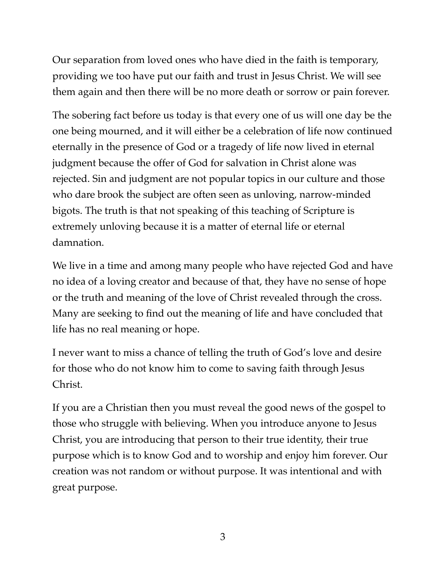Our separation from loved ones who have died in the faith is temporary, providing we too have put our faith and trust in Jesus Christ. We will see them again and then there will be no more death or sorrow or pain forever.

The sobering fact before us today is that every one of us will one day be the one being mourned, and it will either be a celebration of life now continued eternally in the presence of God or a tragedy of life now lived in eternal judgment because the offer of God for salvation in Christ alone was rejected. Sin and judgment are not popular topics in our culture and those who dare brook the subject are often seen as unloving, narrow-minded bigots. The truth is that not speaking of this teaching of Scripture is extremely unloving because it is a matter of eternal life or eternal damnation.

We live in a time and among many people who have rejected God and have no idea of a loving creator and because of that, they have no sense of hope or the truth and meaning of the love of Christ revealed through the cross. Many are seeking to find out the meaning of life and have concluded that life has no real meaning or hope.

I never want to miss a chance of telling the truth of God's love and desire for those who do not know him to come to saving faith through Jesus Christ.

If you are a Christian then you must reveal the good news of the gospel to those who struggle with believing. When you introduce anyone to Jesus Christ, you are introducing that person to their true identity, their true purpose which is to know God and to worship and enjoy him forever. Our creation was not random or without purpose. It was intentional and with great purpose.

3